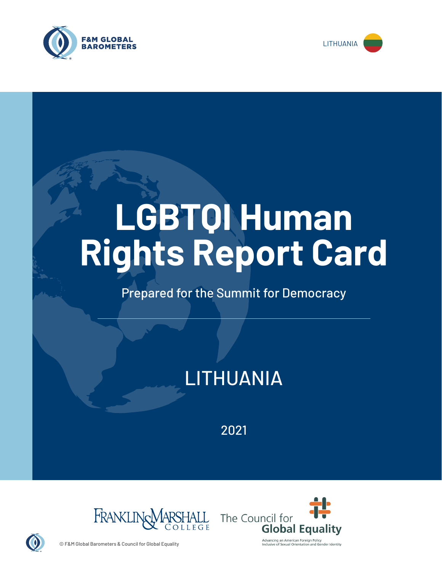



# **LGBTQI Human Rights Report Card**

# Prepared for the Summit for Democracy

# LITHUANIA

2021





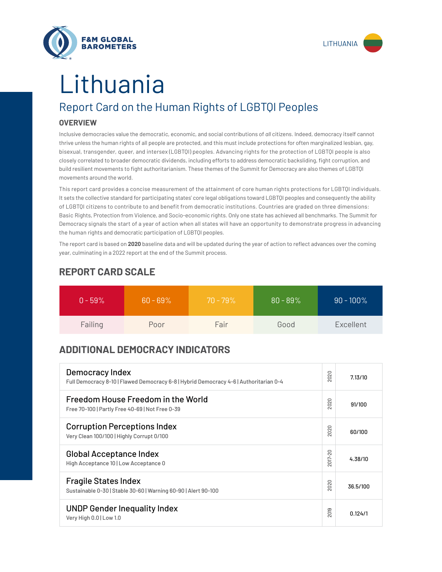



# Lithuania

# Report Card on the Human Rights of LGBTQI Peoples

## **OVERVIEW**

Inclusive democracies value the democratic, economic, and social contributions of *all* citizens. Indeed, democracy itself cannot thrive unless the human rights of all people are protected, and this must include protections for often marginalized lesbian, gay, bisexual, transgender, queer, and intersex (LGBTQI) peoples. Advancing rights for the protection of LGBTQI people is also closely correlated to broader democratic dividends, including efforts to address democratic backsliding, fight corruption, and build resilient movements to fight authoritarianism. These themes of the Summit for Democracy are also themes of LGBTQI movements around the world.

This report card provides a concise measurement of the attainment of core human rights protections for LGBTQI individuals. It sets the collective standard for participating states' core legal obligations toward LGBTQI peoples and consequently the ability of LGBTQI citizens to contribute to and benefit from democratic institutions. Countries are graded on three dimensions: Basic Rights, Protection from Violence, and Socio-economic rights. Only one state has achieved all benchmarks. The Summit for Democracy signals the start of a year of action when all states will have an opportunity to demonstrate progress in advancing the human rights and democratic participation of LGBTQI peoples.

The report card is based on **2020** baseline data and will be updated during the year of action to reflect advances over the coming year, culminating in a 2022 report at the end of the Summit process.

| $0 - 59\%$ | $60 - 69\%$ | $70 - 79\%$ | $80 - 89%$ | $90 - 100\%$ |
|------------|-------------|-------------|------------|--------------|
| Failing    | Poor        | Fair        | Good       | Excellent    |

# **REPORT CARD SCALE**

# **ADDITIONAL DEMOCRACY INDICATORS**

| Democracy Index<br>Full Democracy 8-10   Flawed Democracy 6-8   Hybrid Democracy 4-6   Authoritarian 0-4 | 2020                | 7.13/10  |
|----------------------------------------------------------------------------------------------------------|---------------------|----------|
| Freedom House Freedom in the World<br>Free 70-100   Partly Free 40-69   Not Free 0-39                    | 2020                | 91/100   |
| <b>Corruption Perceptions Index</b><br>Very Clean 100/100   Highly Corrupt 0/100                         | 020<br>$\sim$       | 60/100   |
| <b>Global Acceptance Index</b><br>High Acceptance 10   Low Acceptance 0                                  | 2017-20             | 4.38/10  |
| <b>Fragile States Index</b><br>Sustainable 0-30   Stable 30-60   Warning 60-90   Alert 90-100            | 020<br>$\bar{\sim}$ | 36.5/100 |
| <b>UNDP Gender Inequality Index</b><br>Very High 0.0   Low 1.0                                           | 2019                | 0.124/1  |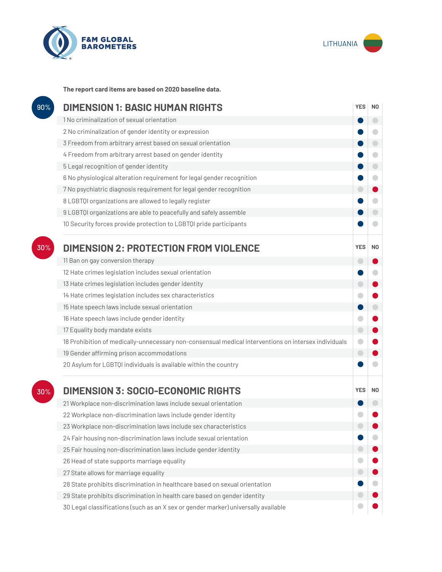



**The report card items are based on 2020 baseline data.**

| 90% | <b>DIMENSION 1: BASIC HUMAN RIGHTS</b>                                                               |            |                          |
|-----|------------------------------------------------------------------------------------------------------|------------|--------------------------|
|     | 1 No criminalization of sexual orientation                                                           |            | $\overline{\phantom{0}}$ |
|     | 2 No criminalization of gender identity or expression                                                |            |                          |
|     | 3 Freedom from arbitrary arrest based on sexual orientation                                          |            |                          |
|     | 4 Freedom from arbitrary arrest based on gender identity                                             |            | O                        |
|     | 5 Legal recognition of gender identity                                                               |            | $\bigcirc$               |
|     | 6 No physiological alteration requirement for legal gender recognition                               |            | $\blacksquare$           |
|     | 7 No psychiatric diagnosis requirement for legal gender recognition                                  |            |                          |
|     | 8 LGBTQI organizations are allowed to legally register                                               |            |                          |
|     | 9 LGBTQI organizations are able to peacefully and safely assemble                                    |            |                          |
|     | 10 Security forces provide protection to LGBTQI pride participants                                   |            |                          |
| 30% | <b>DIMENSION 2: PROTECTION FROM VIOLENCE</b>                                                         | <b>YES</b> | N <sub>0</sub>           |
|     | 11 Ban on gay conversion therapy                                                                     | Œ          |                          |
|     | 12 Hate crimes legislation includes sexual orientation                                               |            |                          |
|     | 13 Hate crimes legislation includes gender identity                                                  | $\bigcirc$ |                          |
|     | 14 Hate crimes legislation includes sex characteristics                                              |            |                          |
|     | 15 Hate speech laws include sexual orientation                                                       |            | $\bigcirc$               |
|     | 16 Hate speech laws include gender identity                                                          |            |                          |
|     | 17 Equality body mandate exists                                                                      | $\bigcirc$ |                          |
|     | 18 Prohibition of medically-unnecessary non-consensual medical interventions on intersex individuals | O          |                          |
|     | 19 Gender affirming prison accommodations                                                            | $\bigcirc$ |                          |
|     | 20 Asylum for LGBTQI individuals is available within the country                                     |            |                          |
| 30% | <b>DIMENSION 3: SOCIO-ECONOMIC RIGHTS</b>                                                            | <b>YES</b> | N <sub>0</sub>           |
|     | 21 Workplace non-discrimination laws include sexual orientation                                      |            |                          |
|     | 22 Workplace non-discrimination laws include gender identity                                         |            |                          |
|     | 23 Workplace non-discrimination laws include sex characteristics                                     |            |                          |
|     | 24 Fair housing non-discrimination laws include sexual orientation                                   |            |                          |
|     | 25 Fair housing non-discrimination laws include gender identity                                      |            |                          |
|     | 26 Head of state supports marriage equality                                                          |            |                          |
|     | 27 State allows for marriage equality                                                                |            |                          |
|     | 28 State prohibits discrimination in healthcare based on sexual orientation                          |            |                          |
|     | 29 State prohibits discrimination in health care based on gender identity                            |            |                          |
|     | 30 Legal classifications (such as an X sex or gender marker) universally available                   |            |                          |